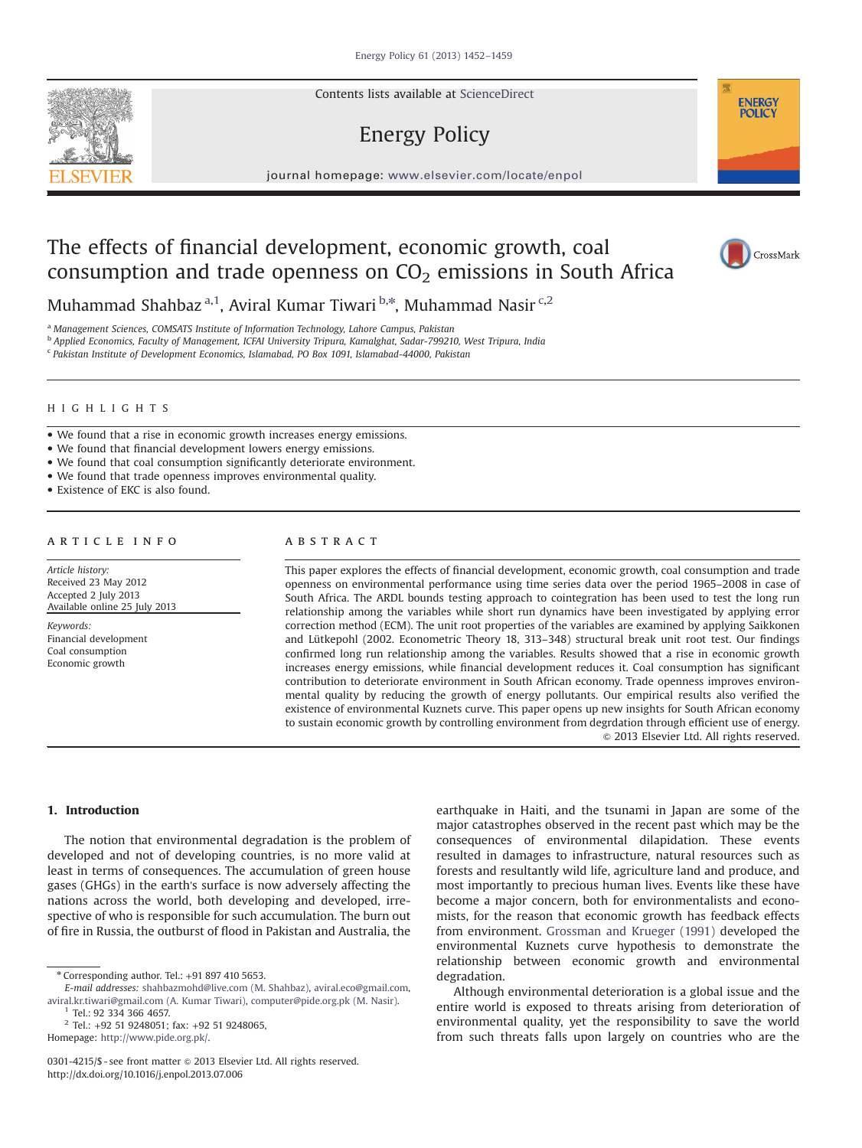Contents lists available at [ScienceDirect](www.sciencedirect.com/science/journal/03014215)

## Energy Policy

 $j$ 

### The effects of financial development, economic growth, coal consumption and trade openness on  $CO<sub>2</sub>$  emissions in South Africa

Muhammad Shahbaz <sup>a, 1</sup>, Aviral Kumar Tiwari <sup>b,\*</sup>, Muhammad Nasir <sup>c,2</sup>

<sup>a</sup> Management Sciences, COMSATS Institute of Information Technology, Lahore Campus, Pakistan

b Applied Economics, Faculty of Management, ICFAI University Tripura, Kamalghat, Sadar-799210, West Tripura, India

<sup>c</sup> Pakistan Institute of Development Economics, Islamabad, PO Box 1091, Islamabad-44000, Pakistan

#### HIGHLIGHTS

- We found that a rise in economic growth increases energy emissions.
- We found that financial development lowers energy emissions.
- We found that coal consumption significantly deteriorate environment.
- We found that trade openness improves environmental quality.
- Existence of EKC is also found.

#### article info

Article history: Received 23 May 2012 Accepted 2 July 2013 Available online 25 July 2013

Keywords: Financial development Coal consumption Economic growth

#### **ABSTRACT**

This paper explores the effects of financial development, economic growth, coal consumption and trade openness on environmental performance using time series data over the period 1965–2008 in case of South Africa. The ARDL bounds testing approach to cointegration has been used to test the long run relationship among the variables while short run dynamics have been investigated by applying error correction method (ECM). The unit root properties of the variables are examined by applying Saikkonen and Lütkepohl (2002. Econometric Theory 18, 313–348) structural break unit root test. Our findings confirmed long run relationship among the variables. Results showed that a rise in economic growth increases energy emissions, while financial development reduces it. Coal consumption has significant contribution to deteriorate environment in South African economy. Trade openness improves environmental quality by reducing the growth of energy pollutants. Our empirical results also verified the existence of environmental Kuznets curve. This paper opens up new insights for South African economy to sustain economic growth by controlling environment from degrdation through efficient use of energy.  $\odot$  2013 Elsevier Ltd. All rights reserved.

#### 1. Introduction

The notion that environmental degradation is the problem of developed and not of developing countries, is no more valid at least in terms of consequences. The accumulation of green house gases (GHGs) in the earth's surface is now adversely affecting the nations across the world, both developing and developed, irrespective of who is responsible for such accumulation. The burn out of fire in Russia, the outburst of flood in Pakistan and Australia, the earthquake in Haiti, and the tsunami in Japan are some of the major catastrophes observed in the recent past which may be the consequences of environmental dilapidation. These events resulted in damages to infrastructure, natural resources such as forests and resultantly wild life, agriculture land and produce, and most importantly to precious human lives. Events like these have become a major concern, both for environmentalists and economists, for the reason that economic growth has feedback effects from environment. [Grossman and Krueger \(1991\)](#page--1-0) developed the environmental Kuznets curve hypothesis to demonstrate the relationship between economic growth and environmental degradation.

Although environmental deterioration is a global issue and the entire world is exposed to threats arising from deterioration of environmental quality, yet the responsibility to save the world from such threats falls upon largely on countries who are the





**ENERGY POLICY** 

 $*$  Corresponding author. Tel.:  $+918974105653$ .

E-mail addresses: [shahbazmohd@live.com \(M. Shahbaz\)](mailto:shahbazmohd@live.com), [aviral.eco@gmail.com](mailto:aviral.eco@gmail.com), [aviral.kr.tiwari@gmail.com \(A. Kumar Tiwari\),](mailto:aviral.kr.tiwari@gmail.com) [computer@pide.org.pk \(M. Nasir\).](mailto:computer@pide.org.pk)

<sup>&</sup>lt;sup>1</sup> Tel.: 92 334 366 4657.

<sup>2</sup> Tel.: +92 51 9248051; fax: +92 51 9248065,

Homepage: [http://www.pide.org.pk/.](http://www.pide.org.pk/)

<sup>0301-4215/\$ -</sup> see front matter @ 2013 Elsevier Ltd. All rights reserved. <http://dx.doi.org/10.1016/j.enpol.2013.07.006>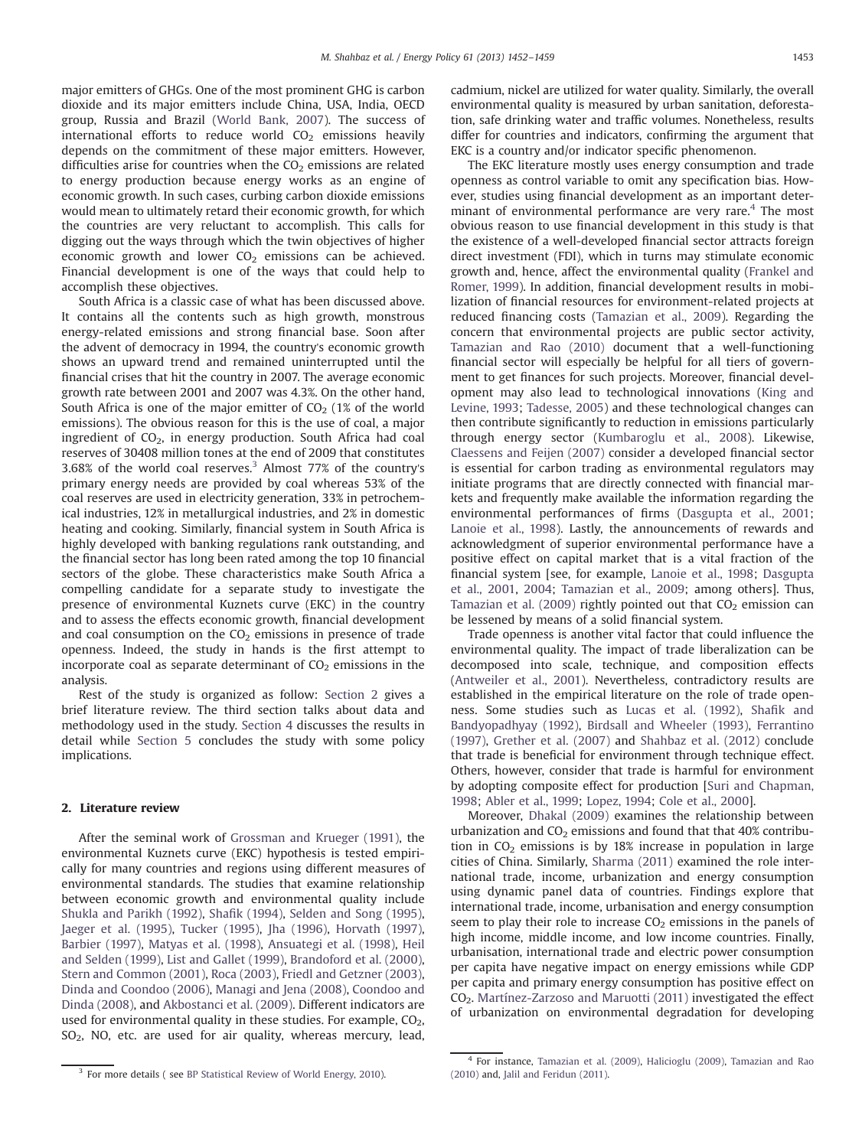major emitters of GHGs. One of the most prominent GHG is carbon dioxide and its major emitters include China, USA, India, OECD group, Russia and Brazil ([World Bank, 2007\)](#page--1-0). The success of international efforts to reduce world  $CO<sub>2</sub>$  emissions heavily depends on the commitment of these major emitters. However, difficulties arise for countries when the  $CO<sub>2</sub>$  emissions are related to energy production because energy works as an engine of economic growth. In such cases, curbing carbon dioxide emissions would mean to ultimately retard their economic growth, for which the countries are very reluctant to accomplish. This calls for digging out the ways through which the twin objectives of higher economic growth and lower  $CO<sub>2</sub>$  emissions can be achieved. Financial development is one of the ways that could help to accomplish these objectives.

South Africa is a classic case of what has been discussed above. It contains all the contents such as high growth, monstrous energy-related emissions and strong financial base. Soon after the advent of democracy in 1994, the country's economic growth shows an upward trend and remained uninterrupted until the financial crises that hit the country in 2007. The average economic growth rate between 2001 and 2007 was 4.3%. On the other hand, South Africa is one of the major emitter of  $CO<sub>2</sub>$  (1% of the world emissions). The obvious reason for this is the use of coal, a major ingredient of  $CO<sub>2</sub>$ , in energy production. South Africa had coal reserves of 30408 million tones at the end of 2009 that constitutes 3.68% of the world coal reserves.3 Almost 77% of the country's primary energy needs are provided by coal whereas 53% of the coal reserves are used in electricity generation, 33% in petrochemical industries, 12% in metallurgical industries, and 2% in domestic heating and cooking. Similarly, financial system in South Africa is highly developed with banking regulations rank outstanding, and the financial sector has long been rated among the top 10 financial sectors of the globe. These characteristics make South Africa a compelling candidate for a separate study to investigate the presence of environmental Kuznets curve (EKC) in the country and to assess the effects economic growth, financial development and coal consumption on the  $CO<sub>2</sub>$  emissions in presence of trade openness. Indeed, the study in hands is the first attempt to incorporate coal as separate determinant of  $CO<sub>2</sub>$  emissions in the analysis.

Rest of the study is organized as follow: Section 2 gives a brief literature review. The third section talks about data and methodology used in the study. [Section 4](#page--1-0) discusses the results in detail while [Section 5](#page--1-0) concludes the study with some policy implications.

#### 2. Literature review

After the seminal work of [Grossman and Krueger \(1991\),](#page--1-0) the environmental Kuznets curve (EKC) hypothesis is tested empirically for many countries and regions using different measures of environmental standards. The studies that examine relationship between economic growth and environmental quality include [Shukla and Parikh \(1992\),](#page--1-0) Shafi[k \(1994\)](#page--1-0), [Selden and Song \(1995\),](#page--1-0) [Jaeger et al. \(1995\),](#page--1-0) [Tucker \(1995\)](#page--1-0), [Jha \(1996\)](#page--1-0), [Horvath \(1997\),](#page--1-0) [Barbier \(1997\),](#page--1-0) [Matyas et al. \(1998\)](#page--1-0), [Ansuategi et al. \(1998\)](#page--1-0), [Heil](#page--1-0) [and Selden \(1999\)](#page--1-0), [List and Gallet \(1999\)](#page--1-0), [Brandoford et al. \(2000\),](#page--1-0) [Stern and Common \(2001\)](#page--1-0), [Roca \(2003\),](#page--1-0) [Friedl and Getzner \(2003\),](#page--1-0) [Dinda and Coondoo \(2006\),](#page--1-0) [Managi and Jena \(2008\)](#page--1-0), [Coondoo and](#page--1-0) [Dinda \(2008\)](#page--1-0), and [Akbostanci et al. \(2009\)](#page--1-0). Different indicators are used for environmental quality in these studies. For example,  $CO<sub>2</sub>$ ,  $SO<sub>2</sub>$ , NO, etc. are used for air quality, whereas mercury, lead,

cadmium, nickel are utilized for water quality. Similarly, the overall environmental quality is measured by urban sanitation, deforestation, safe drinking water and traffic volumes. Nonetheless, results differ for countries and indicators, confirming the argument that EKC is a country and/or indicator specific phenomenon.

The EKC literature mostly uses energy consumption and trade openness as control variable to omit any specification bias. However, studies using financial development as an important determinant of environmental performance are very rare. $4$  The most obvious reason to use financial development in this study is that the existence of a well-developed financial sector attracts foreign direct investment (FDI), which in turns may stimulate economic growth and, hence, affect the environmental quality ([Frankel and](#page--1-0) [Romer, 1999\)](#page--1-0). In addition, financial development results in mobilization of financial resources for environment-related projects at reduced financing costs [\(Tamazian et al., 2009](#page--1-0)). Regarding the concern that environmental projects are public sector activity, [Tamazian and Rao \(2010\)](#page--1-0) document that a well-functioning financial sector will especially be helpful for all tiers of government to get finances for such projects. Moreover, financial development may also lead to technological innovations [\(King and](#page--1-0) [Levine, 1993;](#page--1-0) [Tadesse, 2005](#page--1-0)) and these technological changes can then contribute significantly to reduction in emissions particularly through energy sector [\(Kumbaroglu et al., 2008](#page--1-0)). Likewise, [Claessens and Feijen \(2007\)](#page--1-0) consider a developed financial sector is essential for carbon trading as environmental regulators may initiate programs that are directly connected with financial markets and frequently make available the information regarding the environmental performances of firms [\(Dasgupta et al., 2001;](#page--1-0) [Lanoie et al., 1998](#page--1-0)). Lastly, the announcements of rewards and acknowledgment of superior environmental performance have a positive effect on capital market that is a vital fraction of the financial system [see, for example, [Lanoie et al., 1998;](#page--1-0) [Dasgupta](#page--1-0) [et al., 2001](#page--1-0), [2004](#page--1-0); [Tamazian et al., 2009](#page--1-0); among others]. Thus, [Tamazian et al. \(2009\)](#page--1-0) rightly pointed out that  $CO<sub>2</sub>$  emission can be lessened by means of a solid financial system.

Trade openness is another vital factor that could influence the environmental quality. The impact of trade liberalization can be decomposed into scale, technique, and composition effects ([Antweiler et al., 2001\)](#page--1-0). Nevertheless, contradictory results are established in the empirical literature on the role of trade openness. Some studies such as [Lucas et al. \(1992\)](#page--1-0), Shafi[k and](#page--1-0) [Bandyopadhyay \(1992\),](#page--1-0) [Birdsall and Wheeler \(1993\)](#page--1-0), [Ferrantino](#page--1-0) [\(1997\),](#page--1-0) [Grether et al. \(2007\)](#page--1-0) and [Shahbaz et al. \(2012\)](#page--1-0) conclude that trade is beneficial for environment through technique effect. Others, however, consider that trade is harmful for environment by adopting composite effect for production [\[Suri and Chapman,](#page--1-0) [1998](#page--1-0); [Abler et al., 1999;](#page--1-0) [Lopez, 1994](#page--1-0); [Cole et al., 2000\]](#page--1-0).

Moreover, [Dhakal \(2009\)](#page--1-0) examines the relationship between urbanization and  $CO<sub>2</sub>$  emissions and found that that 40% contribution in  $CO<sub>2</sub>$  emissions is by 18% increase in population in large cities of China. Similarly, [Sharma \(2011\)](#page--1-0) examined the role international trade, income, urbanization and energy consumption using dynamic panel data of countries. Findings explore that international trade, income, urbanisation and energy consumption seem to play their role to increase  $CO<sub>2</sub>$  emissions in the panels of high income, middle income, and low income countries. Finally, urbanisation, international trade and electric power consumption per capita have negative impact on energy emissions while GDP per capita and primary energy consumption has positive effect on CO2. [Martínez-Zarzoso and Maruotti \(2011\)](#page--1-0) investigated the effect of urbanization on environmental degradation for developing

<sup>&</sup>lt;sup>3</sup> For more details (see [BP Statistical Review of World Energy, 2010\)](#page--1-0).

<sup>4</sup> For instance, [Tamazian et al. \(2009\),](#page--1-0) [Halicioglu \(2009\),](#page--1-0) [Tamazian and Rao](#page--1-0) [\(2010\)](#page--1-0) and, [Jalil and Feridun \(2011\).](#page--1-0)